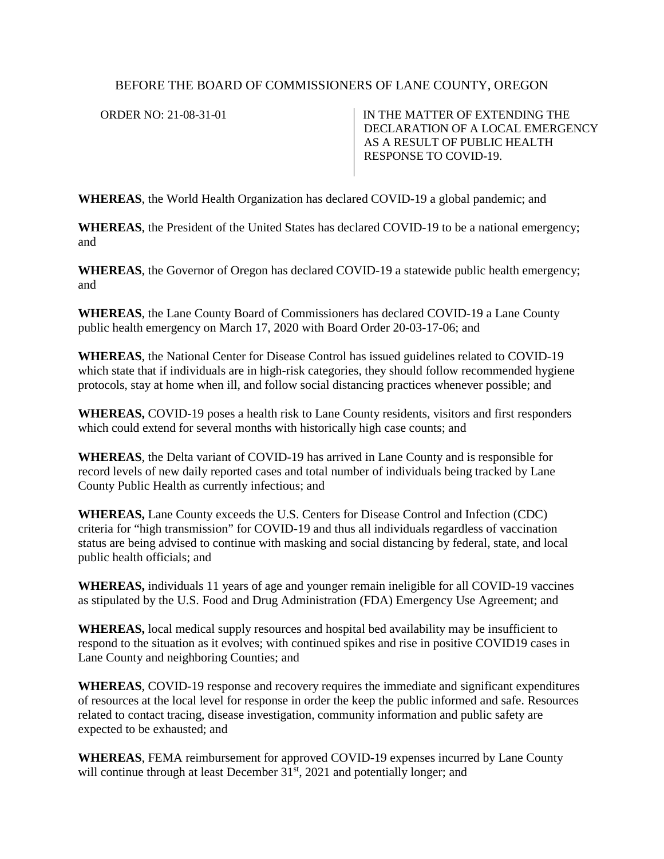## BEFORE THE BOARD OF COMMISSIONERS OF LANE COUNTY, OREGON

ORDER NO: 21-08-31-01 IN THE MATTER OF EXTENDING THE DECLARATION OF A LOCAL EMERGENCY AS A RESULT OF PUBLIC HEALTH RESPONSE TO COVID-19.

**WHEREAS**, the World Health Organization has declared COVID-19 a global pandemic; and

**WHEREAS**, the President of the United States has declared COVID-19 to be a national emergency; and

**WHEREAS**, the Governor of Oregon has declared COVID-19 a statewide public health emergency; and

**WHEREAS**, the Lane County Board of Commissioners has declared COVID-19 a Lane County public health emergency on March 17, 2020 with Board Order 20-03-17-06; and

**WHEREAS**, the National Center for Disease Control has issued guidelines related to COVID-19 which state that if individuals are in high-risk categories, they should follow recommended hygiene protocols, stay at home when ill, and follow social distancing practices whenever possible; and

**WHEREAS,** COVID-19 poses a health risk to Lane County residents, visitors and first responders which could extend for several months with historically high case counts; and

**WHEREAS**, the Delta variant of COVID-19 has arrived in Lane County and is responsible for record levels of new daily reported cases and total number of individuals being tracked by Lane County Public Health as currently infectious; and

**WHEREAS,** Lane County exceeds the U.S. Centers for Disease Control and Infection (CDC) criteria for "high transmission" for COVID-19 and thus all individuals regardless of vaccination status are being advised to continue with masking and social distancing by federal, state, and local public health officials; and

**WHEREAS,** individuals 11 years of age and younger remain ineligible for all COVID-19 vaccines as stipulated by the U.S. Food and Drug Administration (FDA) Emergency Use Agreement; and

**WHEREAS,** local medical supply resources and hospital bed availability may be insufficient to respond to the situation as it evolves; with continued spikes and rise in positive COVID19 cases in Lane County and neighboring Counties; and

**WHEREAS**, COVID-19 response and recovery requires the immediate and significant expenditures of resources at the local level for response in order the keep the public informed and safe. Resources related to contact tracing, disease investigation, community information and public safety are expected to be exhausted; and

**WHEREAS**, FEMA reimbursement for approved COVID-19 expenses incurred by Lane County will continue through at least December  $31<sup>st</sup>$ , 2021 and potentially longer; and